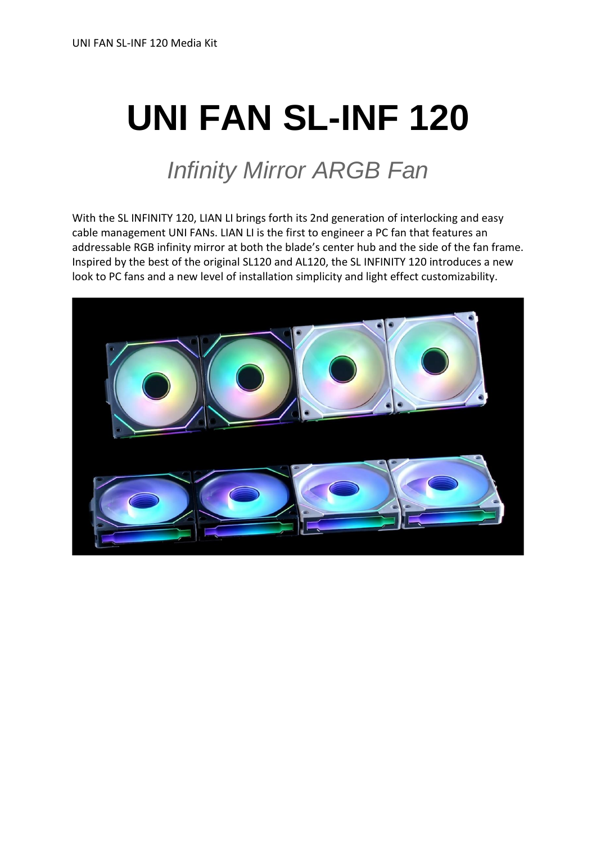# **UNI FAN SL-INF 120**

# *Infinity Mirror ARGB Fan*

With the SL INFINITY 120, LIAN LI brings forth its 2nd generation of interlocking and easy cable management UNI FANs. LIAN LI is the first to engineer a PC fan that features an addressable RGB infinity mirror at both the blade's center hub and the side of the fan frame. Inspired by the best of the original SL120 and AL120, the SL INFINITY 120 introduces a new look to PC fans and a new level of installation simplicity and light effect customizability.

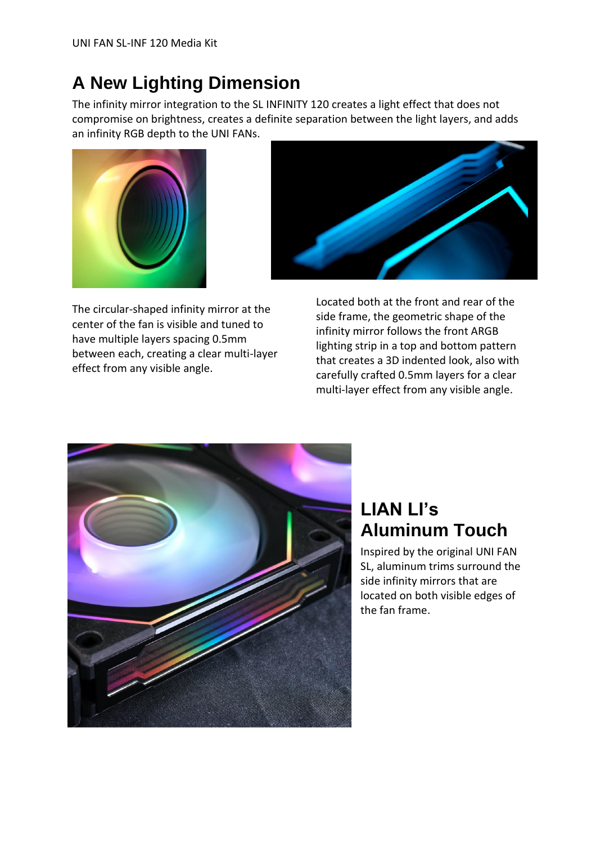#### **A New Lighting Dimension**

The infinity mirror integration to the SL INFINITY 120 creates a light effect that does not compromise on brightness, creates a definite separation between the light layers, and adds an infinity RGB depth to the UNI FANs.



The circular-shaped infinity mirror at the center of the fan is visible and tuned to have multiple layers spacing 0.5mm between each, creating a clear multi-layer effect from any visible angle.



Located both at the front and rear of the side frame, the geometric shape of the infinity mirror follows the front ARGB lighting strip in a top and bottom pattern that creates a 3D indented look, also with carefully crafted 0.5mm layers for a clear multi-layer effect from any visible angle.



#### **LIAN LI's Aluminum Touch**

Inspired by the original UNI FAN SL, aluminum trims surround the side infinity mirrors that are located on both visible edges of the fan frame.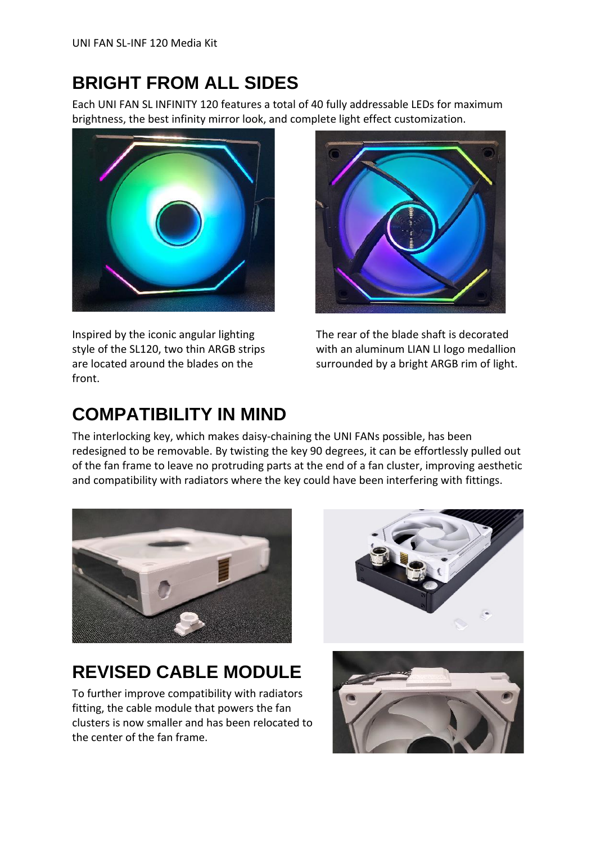#### **BRIGHT FROM ALL SIDES**

Each UNI FAN SL INFINITY 120 features a total of 40 fully addressable LEDs for maximum brightness, the best infinity mirror look, and complete light effect customization.



Inspired by the iconic angular lighting style of the SL120, two thin ARGB strips are located around the blades on the front.



The rear of the blade shaft is decorated with an aluminum LIAN LI logo medallion surrounded by a bright ARGB rim of light.

#### **COMPATIBILITY IN MIND**

The interlocking key, which makes daisy-chaining the UNI FANs possible, has been redesigned to be removable. By twisting the key 90 degrees, it can be effortlessly pulled out of the fan frame to leave no protruding parts at the end of a fan cluster, improving aesthetic and compatibility with radiators where the key could have been interfering with fittings.



### **REVISED CABLE MODULE**

To further improve compatibility with radiators fitting, the cable module that powers the fan clusters is now smaller and has been relocated to the center of the fan frame.



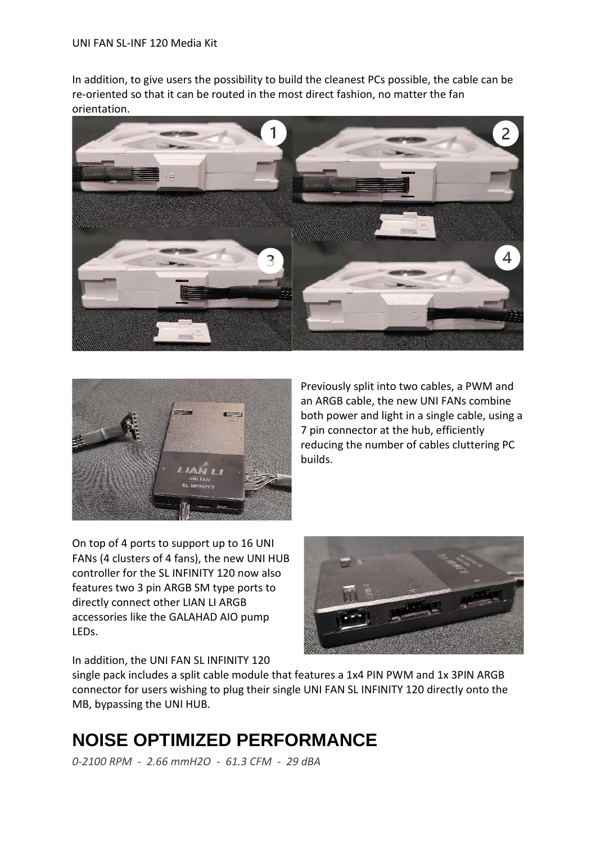In addition, to give users the possibility to build the cleanest PCs possible, the cable can be re-oriented so that it can be routed in the most direct fashion, no matter the fan orientation.





Previously split into two cables, a PWM and an ARGB cable, the new UNI FANs combine both power and light in a single cable, using a 7 pin connector at the hub, efficiently reducing the number of cables cluttering PC builds.

On top of 4 ports to support up to 16 UNI FANs (4 clusters of 4 fans), the new UNI HUB controller for the SL INFINITY 120 now also features two 3 pin ARGB SM type ports to directly connect other LIAN LI ARGB accessories like the GALAHAD AIO pump LEDs.



In addition, the UNI FAN SL INFINITY 120

single pack includes a split cable module that features a 1x4 PIN PWM and 1x 3PIN ARGB connector for users wishing to plug their single UNI FAN SL INFINITY 120 directly onto the MB, bypassing the UNI HUB.

### **NOISE OPTIMIZED PERFORMANCE**

*0-2100 RPM - 2.66 mmH2O - 61.3 CFM - 29 dBA*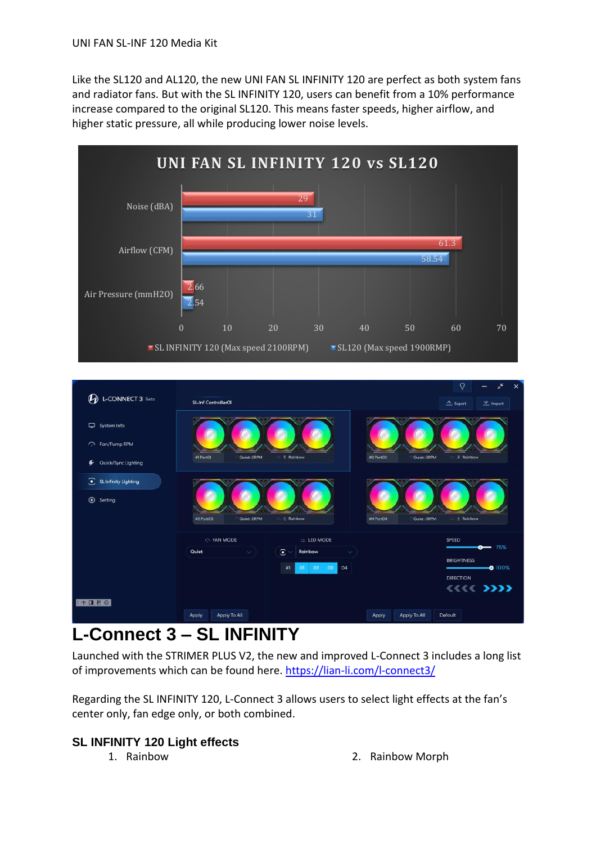Like the SL120 and AL120, the new UNI FAN SL INFINITY 120 are perfect as both system fans and radiator fans. But with the SL INFINITY 120, users can benefit from a 10% performance increase compared to the original SL120. This means faster speeds, higher airflow, and higher static pressure, all while producing lower noise levels.





#### **L-Connect 3 – SL INFINITY**

Launched with the STRIMER PLUS V2, the new and improved L-Connect 3 includes a long list of improvements which can be found here. <https://lian-li.com/l-connect3/>

Regarding the SL INFINITY 120, L-Connect 3 allows users to select light effects at the fan's center only, fan edge only, or both combined.

#### **SL INFINITY 120 Light effects**

- 
- 1. Rainbow 2. Rainbow Morph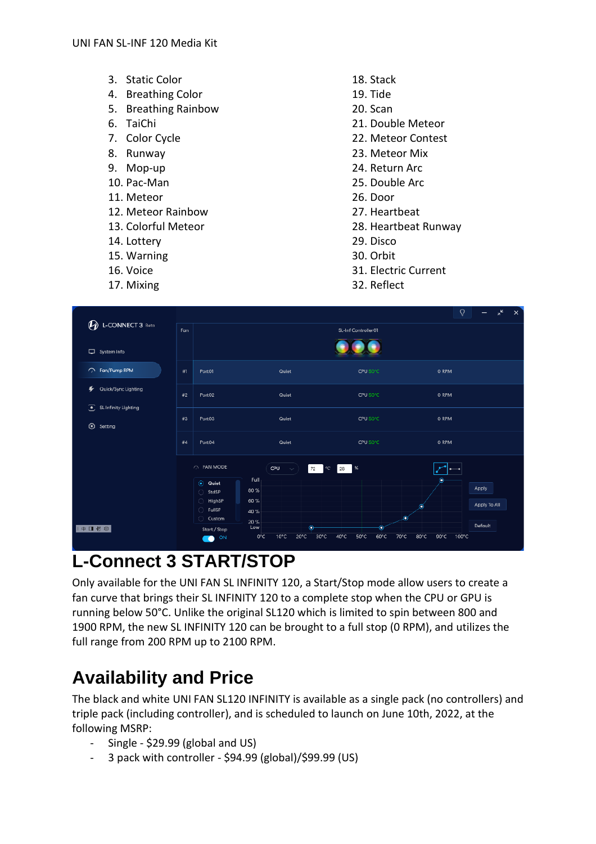- 3. Static Color
- 4. Breathing Color
- 5. Breathing Rainbow
- 6. TaiChi
- 7. Color Cycle
- 8. Runway
- 9. Mop-up
- 10. Pac-Man
- 11. Meteor
- 12. Meteor Rainbow
- 13. Colorful Meteor
- 14. Lottery
- 15. Warning
- 16. Voice
- 17. Mixing
- 18. Stack
- 19. Tide
- 20. Scan
- 21. Double Meteor
- 22. Meteor Contest
- 23. Meteor Mix
- 24. Return Arc
- 25. Double Arc
- 26. Door
- 27. Heartbeat
- 28. Heartbeat Runway
- 29. Disco
- 30. Orbit
- 31. Electric Current
- 32. Reflect

| <sup><sup>O</sup>L-CONNECT 3 Beta</sup>                     |    |                                                                                    |                                                        |                                                                              |                           | $\Omega$<br>$\pi^k$<br>$\times$ |
|-------------------------------------------------------------|----|------------------------------------------------------------------------------------|--------------------------------------------------------|------------------------------------------------------------------------------|---------------------------|---------------------------------|
|                                                             |    | SL-Inf Controller01                                                                |                                                        |                                                                              |                           |                                 |
| System Info                                                 |    |                                                                                    |                                                        |                                                                              |                           |                                 |
| RPM Fan/Pump RPM                                            | #1 | Port01                                                                             | Quiet                                                  | CPU 50°C                                                                     | O RPM                     |                                 |
| Quick/Sync Lighting<br>SL Infinity Lighting<br>◉<br>Setting | #2 | Port <sub>02</sub>                                                                 | Quiet                                                  | CPU 50°C                                                                     | O RPM                     |                                 |
|                                                             | #3 | Port03                                                                             | Quiet                                                  | CPU 50°C                                                                     | O RPM                     |                                 |
|                                                             | #4 | Port04                                                                             | Quiet                                                  | CPU 50°C                                                                     | O RPM                     |                                 |
|                                                             |    | <b>O FAN MODE</b><br>to Quiet<br>StdSP<br>0<br>0<br>HighSP<br>$\bigcirc$<br>FullSP | CPU<br>$\sim$<br>Full<br>80 %<br>60 %                  | %<br>72<br>°C<br>28                                                          | ۰<br>۰                    | Apply<br>Apply To All           |
| 中国哲学                                                        |    | C Custom<br>Start / Stop<br>ON<br>$\sqrt{2}$                                       | 40 %<br>20 %<br>Low<br>$10^{\circ}$ C<br>$0^{\circ}$ C | Ô<br>о<br>$20^{\circ}$ C<br>30°C<br>$40^{\circ}$ C<br>50°C<br>$60^{\circ}$ C | ø<br>70°C<br>80°C<br>90°C | Default<br>100°C                |

#### **L-Connect 3 START/STOP**

Only available for the UNI FAN SL INFINITY 120, a Start/Stop mode allow users to create a fan curve that brings their SL INFINITY 120 to a complete stop when the CPU or GPU is running below 50°C. Unlike the original SL120 which is limited to spin between 800 and 1900 RPM, the new SL INFINITY 120 can be brought to a full stop (0 RPM), and utilizes the full range from 200 RPM up to 2100 RPM.

#### **Availability and Price**

The black and white UNI FAN SL120 INFINITY is available as a single pack (no controllers) and triple pack (including controller), and is scheduled to launch on June 10th, 2022, at the following MSRP:

- Single \$29.99 (global and US)
- 3 pack with controller \$94.99 (global)/\$99.99 (US)